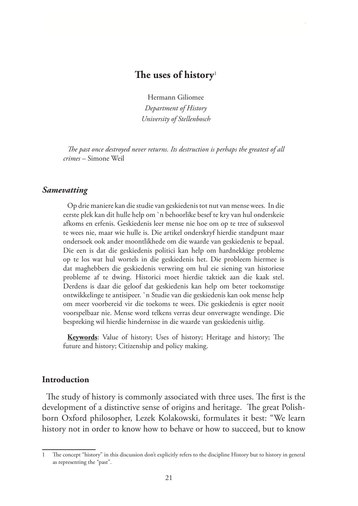### **The uses of history**<sup>1</sup>

Hermann Giliomee *Department of History University of Stellenbosch*

*The past once destroyed never returns. Its destruction is perhaps the greatest of all crimes –* Simone Weil

#### *Samevatting*

Op drie maniere kan die studie van geskiedenis tot nut van mense wees. In die eerste plek kan dit hulle help om `n behoorlike besef te kry van hul onderskeie afkoms en erfenis. Geskiedenis leer mense nie hoe om op te tree of suksesvol te wees nie, maar wie hulle is. Die artikel onderskryf hierdie standpunt maar ondersoek ook ander moontlikhede om die waarde van geskiedenis te bepaal. Die een is dat die geskiedenis politici kan help om hardnekkige probleme op te los wat hul wortels in die geskiedenis het. Die probleem hiermee is dat maghebbers die geskiedenis verwring om hul eie siening van historiese probleme af te dwing. Historici moet hierdie taktiek aan die kaak stel. Derdens is daar die geloof dat geskiedenis kan help om beter toekomstige ontwikkelinge te antisipeer. `n Studie van die geskiedenis kan ook mense help om meer voorbereid vir die toekoms te wees. Die geskiedenis is egter nooit voorspelbaar nie. Mense word telkens verras deur onverwagte wendinge. Die bespreking wil hierdie hindernisse in die waarde van geskiedenis uitlig.

**Keywords**: Value of history; Uses of history; Heritage and history; The future and history; Citizenship and policy making.

#### **Introduction**

The study of history is commonly associated with three uses. The first is the development of a distinctive sense of origins and heritage. The great Polishborn Oxford philosopher, Lezek Kolakowski, formulates it best: "We learn history not in order to know how to behave or how to succeed, but to know

The concept "history" in this discussion don't explicitly refers to the discipline History but to history in general as representing the "past".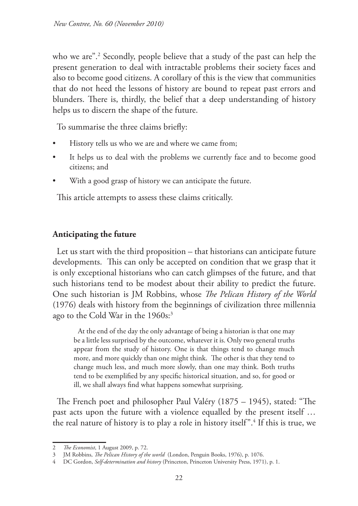who we are".2 Secondly, people believe that a study of the past can help the present generation to deal with intractable problems their society faces and also to become good citizens. A corollary of this is the view that communities that do not heed the lessons of history are bound to repeat past errors and blunders. There is, thirdly, the belief that a deep understanding of history helps us to discern the shape of the future.

To summarise the three claims briefly:

- History tells us who we are and where we came from;
- It helps us to deal with the problems we currently face and to become good citizens; and
- With a good grasp of history we can anticipate the future.

This article attempts to assess these claims critically.

## **Anticipating the future**

Let us start with the third proposition – that historians can anticipate future developments. This can only be accepted on condition that we grasp that it is only exceptional historians who can catch glimpses of the future, and that such historians tend to be modest about their ability to predict the future. One such historian is JM Robbins, whose *The Pelican History of the World*  (1976) deals with history from the beginnings of civilization three millennia ago to the Cold War in the 1960s:<sup>3</sup>

At the end of the day the only advantage of being a historian is that one may be a little less surprised by the outcome, whatever it is. Only two general truths appear from the study of history. One is that things tend to change much more, and more quickly than one might think. The other is that they tend to change much less, and much more slowly, than one may think. Both truths tend to be exemplified by any specific historical situation, and so, for good or ill, we shall always find what happens somewhat surprising.

The French poet and philosopher Paul Valéry (1875 – 1945), stated: "The past acts upon the future with a violence equalled by the present itself … the real nature of history is to play a role in history itself".4 If this is true, we

<sup>2</sup> *The Economist*, 1 August 2009, p. 72.

<sup>3</sup> JM Robbins, *The Pelican History of the world* (London, Penguin Books, 1976), p. 1076.

<sup>4</sup> DC Gordon, *Self-determination and history* (Princeton, Princeton University Press, 1971), p. 1.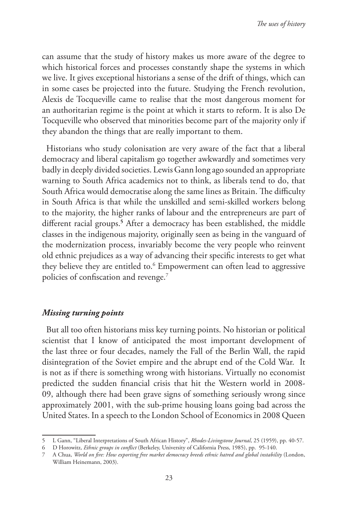can assume that the study of history makes us more aware of the degree to which historical forces and processes constantly shape the systems in which we live. It gives exceptional historians a sense of the drift of things, which can in some cases be projected into the future. Studying the French revolution, Alexis de Tocqueville came to realise that the most dangerous moment for an authoritarian regime is the point at which it starts to reform. It is also De Tocqueville who observed that minorities become part of the majority only if they abandon the things that are really important to them.

Historians who study colonisation are very aware of the fact that a liberal democracy and liberal capitalism go together awkwardly and sometimes very badly in deeply divided societies. Lewis Gann long ago sounded an appropriate warning to South Africa academics not to think, as liberals tend to do, that South Africa would democratise along the same lines as Britain. The difficulty in South Africa is that while the unskilled and semi-skilled workers belong to the majority, the higher ranks of labour and the entrepreneurs are part of different racial groups.**<sup>5</sup>** After a democracy has been established, the middle classes in the indigenous majority, originally seen as being in the vanguard of the modernization process, invariably become the very people who reinvent old ethnic prejudices as a way of advancing their specific interests to get what they believe they are entitled to.<sup>6</sup> Empowerment can often lead to aggressive policies of confiscation and revenge.7

#### *Missing turning points*

But all too often historians miss key turning points. No historian or political scientist that I know of anticipated the most important development of the last three or four decades, namely the Fall of the Berlin Wall, the rapid disintegration of the Soviet empire and the abrupt end of the Cold War. It is not as if there is something wrong with historians. Virtually no economist predicted the sudden financial crisis that hit the Western world in 2008- 09, although there had been grave signs of something seriously wrong since approximately 2001, with the sub-prime housing loans going bad across the United States. In a speech to the London School of Economics in 2008 Queen

<sup>5</sup> L Gann, "Liberal Interpretations of South African History", *Rhodes-Livingstone Journal*, 25 (1959), pp. 40-57.

<sup>6</sup> D Horowitz, *Ethnic groups in conflict* (Berkeley, University of California Press, 1985), pp. 95-140.

<sup>7</sup> A Chua, *World on fire: How exporting free market democracy breeds ethnic hatred and global instability* (London, William Heinemann, 2003).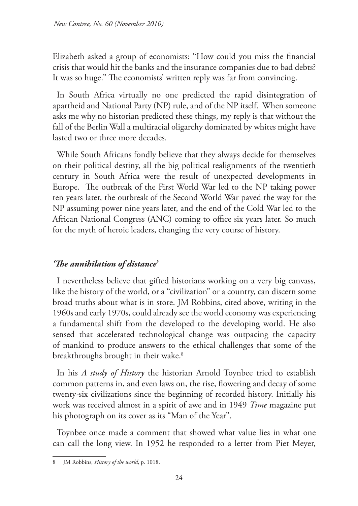Elizabeth asked a group of economists: "How could you miss the financial crisis that would hit the banks and the insurance companies due to bad debts? It was so huge." The economists' written reply was far from convincing.

In South Africa virtually no one predicted the rapid disintegration of apartheid and National Party (NP) rule, and of the NP itself. When someone asks me why no historian predicted these things, my reply is that without the fall of the Berlin Wall a multiracial oligarchy dominated by whites might have lasted two or three more decades.

While South Africans fondly believe that they always decide for themselves on their political destiny, all the big political realignments of the twentieth century in South Africa were the result of unexpected developments in Europe. The outbreak of the First World War led to the NP taking power ten years later, the outbreak of the Second World War paved the way for the NP assuming power nine years later, and the end of the Cold War led to the African National Congress (ANC) coming to office six years later. So much for the myth of heroic leaders, changing the very course of history.

# *'The annihilation of distance'*

I nevertheless believe that gifted historians working on a very big canvass, like the history of the world, or a "civilization" or a country, can discern some broad truths about what is in store. JM Robbins, cited above, writing in the 1960s and early 1970s, could already see the world economy was experiencing a fundamental shift from the developed to the developing world. He also sensed that accelerated technological change was outpacing the capacity of mankind to produce answers to the ethical challenges that some of the breakthroughs brought in their wake.<sup>8</sup>

In his *A study of History* the historian Arnold Toynbee tried to establish common patterns in, and even laws on, the rise, flowering and decay of some twenty-six civilizations since the beginning of recorded history. Initially his work was received almost in a spirit of awe and in 1949 *Time* magazine put his photograph on its cover as its "Man of the Year".

Toynbee once made a comment that showed what value lies in what one can call the long view. In 1952 he responded to a letter from Piet Meyer,

<sup>8</sup> JM Robbins, *History of the world*, p. 1018.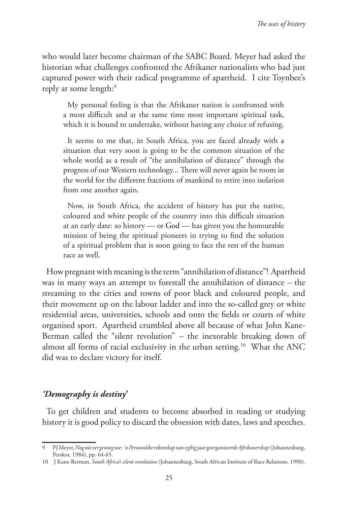who would later become chairman of the SABC Board. Meyer had asked the historian what challenges confronted the Afrikaner nationalists who had just captured power with their radical programme of apartheid. I cite Toynbee's reply at some length:<sup>9</sup>

My personal feeling is that the Afrikaner nation is confronted with a most difficult and at the same time most important spiritual task, which it is bound to undertake, without having any choice of refusing.

It seems to me that, in South Africa, you are faced already with a situation that very soon is going to be the common situation of the whole world as a result of "the annihilation of distance" through the progress of our Western technology... There will never again be room in the world for the different fractions of mankind to retire into isolation from one another again.

Now, in South Africa, the accident of history has put the native, coloured and white people of the country into this difficult situation at an early date: so history — or God — has given you the honourable mission of being the spiritual pioneers in trying to find the solution of a spiritual problem that is soon going to face the rest of the human race as well.

How pregnant with meaning is the term "annihilation of distance"! Apartheid was in many ways an attempt to forestall the annihilation of distance – the streaming to the cities and towns of poor black and coloured people, and their movement up on the labour ladder and into the so-called grey or white residential areas, universities, schools and onto the fields or courts of white organised sport. Apartheid crumbled above all because of what John Kane-Berman called the "silent revolution" – the inexorable breaking down of almost all forms of racial exclusivity in the urban setting.10 What the ANC did was to declare victory for itself.

#### *'Demography is destiny'*

To get children and students to become absorbed in reading or studying history it is good policy to discard the obsession with dates, laws and speeches.

<sup>9</sup> PJ Meyer, *Nog nie ver genoeg nie*:  *'n Persoonlike rekenskap van vyftig jaar georganiseerde Afrikanerskap*  (Johannesburg, Perskor, 1984), pp. 64-65.

<sup>10</sup> J Kane-Berman, *South Africa's silent revolution* (Johannesburg, South African Institute of Race Relations, 1990).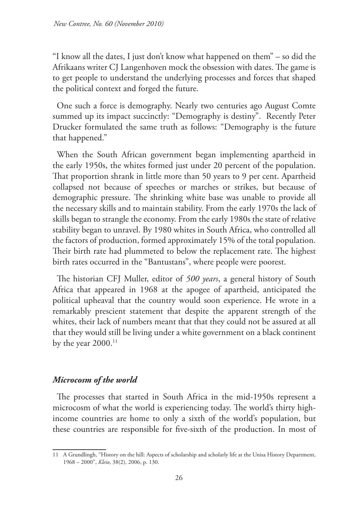"I know all the dates, I just don't know what happened on them" – so did the Afrikaans writer CJ Langenhoven mock the obsession with dates. The game is to get people to understand the underlying processes and forces that shaped the political context and forged the future.

One such a force is demography. Nearly two centuries ago August Comte summed up its impact succinctly: "Demography is destiny". Recently Peter Drucker formulated the same truth as follows: "Demography is the future that happened."

When the South African government began implementing apartheid in the early 1950s, the whites formed just under 20 percent of the population. That proportion shrank in little more than 50 years to 9 per cent. Apartheid collapsed not because of speeches or marches or strikes, but because of demographic pressure. The shrinking white base was unable to provide all the necessary skills and to maintain stability. From the early 1970s the lack of skills began to strangle the economy. From the early 1980s the state of relative stability began to unravel. By 1980 whites in South Africa, who controlled all the factors of production, formed approximately 15% of the total population. Their birth rate had plummeted to below the replacement rate. The highest birth rates occurred in the "Bantustans", where people were poorest.

The historian CFJ Muller, editor of *500 years*, a general history of South Africa that appeared in 1968 at the apogee of apartheid, anticipated the political upheaval that the country would soon experience. He wrote in a remarkably prescient statement that despite the apparent strength of the whites, their lack of numbers meant that that they could not be assured at all that they would still be living under a white government on a black continent by the year 2000.<sup>11</sup>

#### *Microcosm of the world*

The processes that started in South Africa in the mid-1950s represent a microcosm of what the world is experiencing today. The world's thirty highincome countries are home to only a sixth of the world's population, but these countries are responsible for five-sixth of the production. In most of

<sup>11</sup> A Grundlingh, "History on the hill: Aspects of scholarship and scholarly life at the Unisa History Department, 1968 – 2000", *Kleio*, 38(2), 2006, p. 130.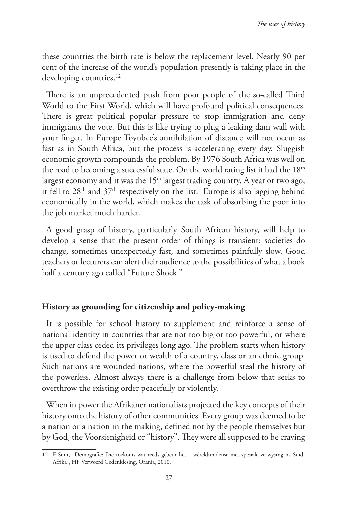these countries the birth rate is below the replacement level. Nearly 90 per cent of the increase of the world's population presently is taking place in the developing countries.<sup>12</sup>

There is an unprecedented push from poor people of the so-called Third World to the First World, which will have profound political consequences. There is great political popular pressure to stop immigration and deny immigrants the vote. But this is like trying to plug a leaking dam wall with your finger. In Europe Toynbee's annihilation of distance will not occur as fast as in South Africa, but the process is accelerating every day. Sluggish economic growth compounds the problem. By 1976 South Africa was well on the road to becoming a successful state. On the world rating list it had the  $18<sup>th</sup>$ largest economy and it was the  $15<sup>th</sup>$  largest trading country. A year or two ago, it fell to  $28<sup>th</sup>$  and  $37<sup>th</sup>$  respectively on the list. Europe is also lagging behind economically in the world, which makes the task of absorbing the poor into the job market much harder.

A good grasp of history, particularly South African history, will help to develop a sense that the present order of things is transient: societies do change, sometimes unexpectedly fast, and sometimes painfully slow. Good teachers or lecturers can alert their audience to the possibilities of what a book half a century ago called "Future Shock."

#### **History as grounding for citizenship and policy-making**

It is possible for school history to supplement and reinforce a sense of national identity in countries that are not too big or too powerful, or where the upper class ceded its privileges long ago. The problem starts when history is used to defend the power or wealth of a country, class or an ethnic group. Such nations are wounded nations, where the powerful steal the history of the powerless. Almost always there is a challenge from below that seeks to overthrow the existing order peacefully or violently.

When in power the Afrikaner nationalists projected the key concepts of their history onto the history of other communities. Every group was deemed to be a nation or a nation in the making, defined not by the people themselves but by God, the Voorsienigheid or "history". They were all supposed to be craving

<sup>12</sup> F Smit, "Demografie: Die toekoms wat reeds gebeur het – wêreldtendense met spesiale verwysing na Suid-Afrika", HF Verwoerd Gedenklesing, Orania, 2010.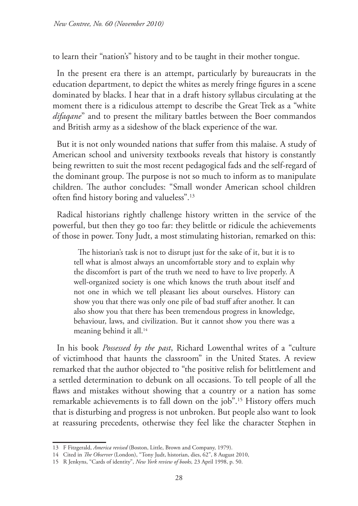to learn their "nation's" history and to be taught in their mother tongue.

In the present era there is an attempt, particularly by bureaucrats in the education department, to depict the whites as merely fringe figures in a scene dominated by blacks. I hear that in a draft history syllabus circulating at the moment there is a ridiculous attempt to describe the Great Trek as a "white *difaqane*" and to present the military battles between the Boer commandos and British army as a sideshow of the black experience of the war.

But it is not only wounded nations that suffer from this malaise. A study of American school and university textbooks reveals that history is constantly being rewritten to suit the most recent pedagogical fads and the self-regard of the dominant group. The purpose is not so much to inform as to manipulate children. The author concludes: "Small wonder American school children often find history boring and valueless".13

Radical historians rightly challenge history written in the service of the powerful, but then they go too far: they belittle or ridicule the achievements of those in power. Tony Judt, a most stimulating historian, remarked on this:

The historian's task is not to disrupt just for the sake of it, but it is to tell what is almost always an uncomfortable story and to explain why the discomfort is part of the truth we need to have to live properly. A well-organized society is one which knows the truth about itself and not one in which we tell pleasant lies about ourselves. History can show you that there was only one pile of bad stuff after another. It can also show you that there has been tremendous progress in knowledge, behaviour, laws, and civilization. But it cannot show you there was a meaning behind it all.<sup>14</sup>

In his book *Possessed by the past*, Richard Lowenthal writes of a "culture of victimhood that haunts the classroom" in the United States. A review remarked that the author objected to "the positive relish for belittlement and a settled determination to debunk on all occasions. To tell people of all the flaws and mistakes without showing that a country or a nation has some remarkable achievements is to fall down on the job".15 History offers much that is disturbing and progress is not unbroken. But people also want to look at reassuring precedents, otherwise they feel like the character Stephen in

<sup>13</sup> F Fitzgerald, *America revised* (Boston, Little, Brown and Company, 1979).

<sup>14</sup> Cited in *The Observer* (London), "Tony Judt, historian, dies, 62", 8 August 2010,

<sup>15</sup> R Jenkyns, "Cards of identity", *New York review of books,* 23 April 1998, p. 50.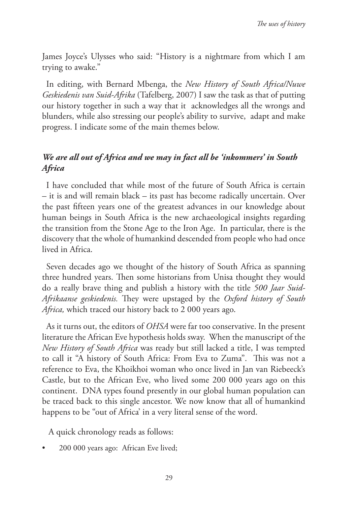James Joyce's Ulysses who said: "History is a nightmare from which I am trying to awake."

In editing, with Bernard Mbenga, the *New History of South Africa/Nuwe Geskiedenis van Suid-Afrika* (Tafelberg, 2007) I saw the task as that of putting our history together in such a way that it acknowledges all the wrongs and blunders, while also stressing our people's ability to survive, adapt and make progress. I indicate some of the main themes below.

# *We are all out of Africa and we may in fact all be 'inkommers' in South Africa*

I have concluded that while most of the future of South Africa is certain – it is and will remain black – its past has become radically uncertain. Over the past fifteen years one of the greatest advances in our knowledge about human beings in South Africa is the new archaeological insights regarding the transition from the Stone Age to the Iron Age. In particular, there is the discovery that the whole of humankind descended from people who had once lived in Africa.

Seven decades ago we thought of the history of South Africa as spanning three hundred years. Then some historians from Unisa thought they would do a really brave thing and publish a history with the title *500 Jaar Suid-Afrikaanse geskiedenis.* They were upstaged by the *Oxford history of South Africa,* which traced our history back to 2 000 years ago.

As it turns out, the editors of *OHSA* were far too conservative. In the present literature the African Eve hypothesis holds sway. When the manuscript of the *New History of South Africa* was ready but still lacked a title, I was tempted to call it "A history of South Africa: From Eva to Zuma". This was not a reference to Eva, the Khoikhoi woman who once lived in Jan van Riebeeck's Castle, but to the African Eve, who lived some 200 000 years ago on this continent. DNA types found presently in our global human population can be traced back to this single ancestor. We now know that all of humankind happens to be "out of Africa' in a very literal sense of the word.

A quick chronology reads as follows:

• 200 000 years ago: African Eve lived;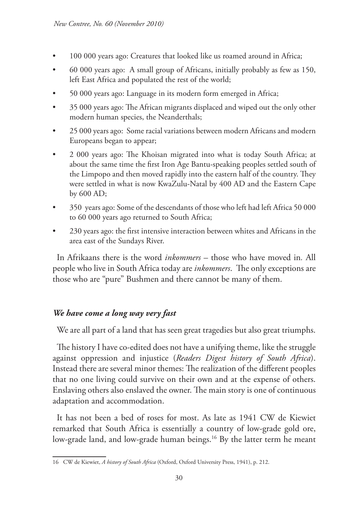- 100 000 years ago: Creatures that looked like us roamed around in Africa;
- 60 000 years ago: A small group of Africans, initially probably as few as 150, left East Africa and populated the rest of the world;
- 50 000 years ago: Language in its modern form emerged in Africa;
- 35 000 years ago: The African migrants displaced and wiped out the only other modern human species, the Neanderthals;
- 25 000 years ago: Some racial variations between modern Africans and modern Europeans began to appear;
- 2 000 years ago: The Khoisan migrated into what is today South Africa; at about the same time the first Iron Age Bantu-speaking peoples settled south of the Limpopo and then moved rapidly into the eastern half of the country. They were settled in what is now KwaZulu-Natal by 400 AD and the Eastern Cape by 600 AD;
- 350 years ago: Some of the descendants of those who left had left Africa 50 000 to 60 000 years ago returned to South Africa;
- 230 years ago: the first intensive interaction between whites and Africans in the area east of the Sundays River.

In Afrikaans there is the word *inkommers* – those who have moved in*.* All people who live in South Africa today are *inkommers*. The only exceptions are those who are "pure" Bushmen and there cannot be many of them.

### *We have come a long way very fast*

We are all part of a land that has seen great tragedies but also great triumphs.

The history I have co-edited does not have a unifying theme, like the struggle against oppression and injustice (*Readers Digest history of South Africa*). Instead there are several minor themes: The realization of the different peoples that no one living could survive on their own and at the expense of others. Enslaving others also enslaved the owner. The main story is one of continuous adaptation and accommodation.

It has not been a bed of roses for most. As late as 1941 CW de Kiewiet remarked that South Africa is essentially a country of low-grade gold ore, low-grade land, and low-grade human beings.<sup>16</sup> By the latter term he meant

<sup>16</sup> CW de Kiewiet, *A history of South Africa* (Oxford, Oxford University Press, 1941), p. 212.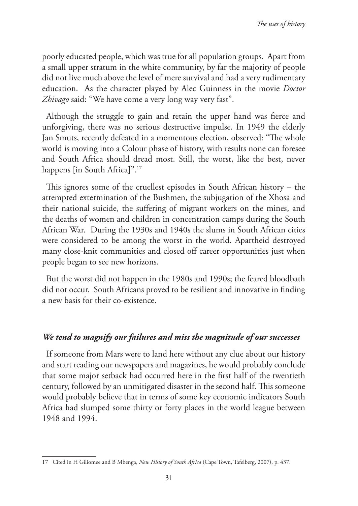poorly educated people, which was true for all population groups. Apart from a small upper stratum in the white community, by far the majority of people did not live much above the level of mere survival and had a very rudimentary education. As the character played by Alec Guinness in the movie *Doctor Zhivago* said: "We have come a very long way very fast".

Although the struggle to gain and retain the upper hand was fierce and unforgiving, there was no serious destructive impulse. In 1949 the elderly Jan Smuts, recently defeated in a momentous election, observed: "The whole world is moving into a Colour phase of history, with results none can foresee and South Africa should dread most. Still, the worst, like the best, never happens [in South Africa]".<sup>17</sup>

This ignores some of the cruellest episodes in South African history – the attempted extermination of the Bushmen, the subjugation of the Xhosa and their national suicide, the suffering of migrant workers on the mines, and the deaths of women and children in concentration camps during the South African War. During the 1930s and 1940s the slums in South African cities were considered to be among the worst in the world. Apartheid destroyed many close-knit communities and closed off career opportunities just when people began to see new horizons.

But the worst did not happen in the 1980s and 1990s; the feared bloodbath did not occur. South Africans proved to be resilient and innovative in finding a new basis for their co-existence.

### *We tend to magnify our failures and miss the magnitude of our successes*

If someone from Mars were to land here without any clue about our history and start reading our newspapers and magazines, he would probably conclude that some major setback had occurred here in the first half of the twentieth century, followed by an unmitigated disaster in the second half. This someone would probably believe that in terms of some key economic indicators South Africa had slumped some thirty or forty places in the world league between 1948 and 1994.

<sup>17</sup> Cited in H Giliomee and B Mbenga, *New History of South Africa* (Cape Town, Tafelberg, 2007), p. 437.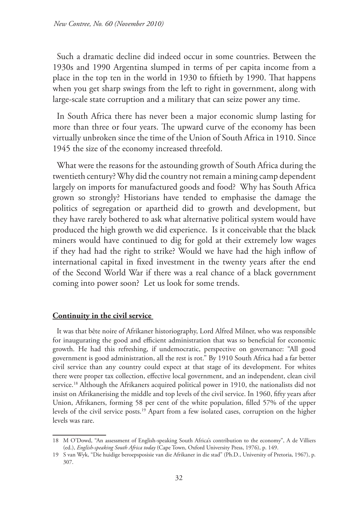Such a dramatic decline did indeed occur in some countries. Between the 1930s and 1990 Argentina slumped in terms of per capita income from a place in the top ten in the world in 1930 to fiftieth by 1990. That happens when you get sharp swings from the left to right in government, along with large-scale state corruption and a military that can seize power any time.

In South Africa there has never been a major economic slump lasting for more than three or four years. The upward curve of the economy has been virtually unbroken since the time of the Union of South Africa in 1910. Since 1945 the size of the economy increased threefold.

What were the reasons for the astounding growth of South Africa during the twentieth century? Why did the country not remain a mining camp dependent largely on imports for manufactured goods and food? Why has South Africa grown so strongly? Historians have tended to emphasise the damage the politics of segregation or apartheid did to growth and development, but they have rarely bothered to ask what alternative political system would have produced the high growth we did experience. Is it conceivable that the black miners would have continued to dig for gold at their extremely low wages if they had had the right to strike? Would we have had the high inflow of international capital in fixed investment in the twenty years after the end of the Second World War if there was a real chance of a black government coming into power soon? Let us look for some trends.

#### **Continuity in the civil service**

It was that bête noire of Afrikaner historiography, Lord Alfred Milner, who was responsible for inaugurating the good and efficient administration that was so beneficial for economic growth. He had this refreshing, if undemocratic, perspective on governance: "All good government is good administration, all the rest is rot." By 1910 South Africa had a far better civil service than any country could expect at that stage of its development. For whites there were proper tax collection, effective local government, and an independent, clean civil service.18 Although the Afrikaners acquired political power in 1910, the nationalists did not insist on Afrikanerising the middle and top levels of the civil service. In 1960, fifty years after Union, Afrikaners, forming 58 per cent of the white population, filled 57% of the upper levels of the civil service posts.19 Apart from a few isolated cases, corruption on the higher levels was rare.

<sup>18</sup> M O'Dowd, "An assessment of English-speaking South Africa's contribution to the economy", A de Villiers (ed.), *English-speaking South Africa today* (Cape Town, Oxford University Press, 1976), p. 149.

<sup>19</sup> S van Wyk, "Die huidige beroepsposisie van die Afrikaner in die stad" (Ph.D., University of Pretoria, 1967), p. 307.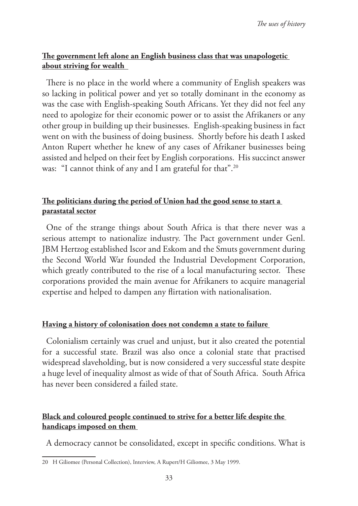### **The government left alone an English business class that was unapologetic about striving for wealth**

There is no place in the world where a community of English speakers was so lacking in political power and yet so totally dominant in the economy as was the case with English-speaking South Africans. Yet they did not feel any need to apologize for their economic power or to assist the Afrikaners or any other group in building up their businesses. English-speaking business in fact went on with the business of doing business. Shortly before his death I asked Anton Rupert whether he knew of any cases of Afrikaner businesses being assisted and helped on their feet by English corporations. His succinct answer was: "I cannot think of any and I am grateful for that".<sup>20</sup>

## **The politicians during the period of Union had the good sense to start a parastatal sector**

One of the strange things about South Africa is that there never was a serious attempt to nationalize industry. The Pact government under Genl. JBM Hertzog established Iscor and Eskom and the Smuts government during the Second World War founded the Industrial Development Corporation, which greatly contributed to the rise of a local manufacturing sector. These corporations provided the main avenue for Afrikaners to acquire managerial expertise and helped to dampen any flirtation with nationalisation.

#### **Having a history of colonisation does not condemn a state to failure**

Colonialism certainly was cruel and unjust, but it also created the potential for a successful state. Brazil was also once a colonial state that practised widespread slaveholding, but is now considered a very successful state despite a huge level of inequality almost as wide of that of South Africa. South Africa has never been considered a failed state.

## **Black and coloured people continued to strive for a better life despite the handicaps imposed on them**

A democracy cannot be consolidated, except in specific conditions. What is

<sup>20</sup> H Giliomee (Personal Collection), Interview, A Rupert/H Giliomee, 3 May 1999.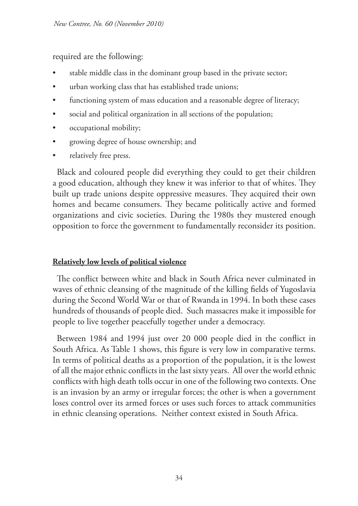required are the following:

- stable middle class in the dominant group based in the private sector;
- urban working class that has established trade unions;
- functioning system of mass education and a reasonable degree of literacy;
- social and political organization in all sections of the population;
- occupational mobility;
- growing degree of house ownership; and
- relatively free press.

Black and coloured people did everything they could to get their children a good education, although they knew it was inferior to that of whites. They built up trade unions despite oppressive measures. They acquired their own homes and became consumers. They became politically active and formed organizations and civic societies. During the 1980s they mustered enough opposition to force the government to fundamentally reconsider its position.

### **Relatively low levels of political violence**

The conflict between white and black in South Africa never culminated in waves of ethnic cleansing of the magnitude of the killing fields of Yugoslavia during the Second World War or that of Rwanda in 1994. In both these cases hundreds of thousands of people died. Such massacres make it impossible for people to live together peacefully together under a democracy.

Between 1984 and 1994 just over 20 000 people died in the conflict in South Africa. As Table 1 shows, this figure is very low in comparative terms. In terms of political deaths as a proportion of the population, it is the lowest of all the major ethnic conflicts in the last sixty years. All over the world ethnic conflicts with high death tolls occur in one of the following two contexts. One is an invasion by an army or irregular forces; the other is when a government loses control over its armed forces or uses such forces to attack communities in ethnic cleansing operations. Neither context existed in South Africa.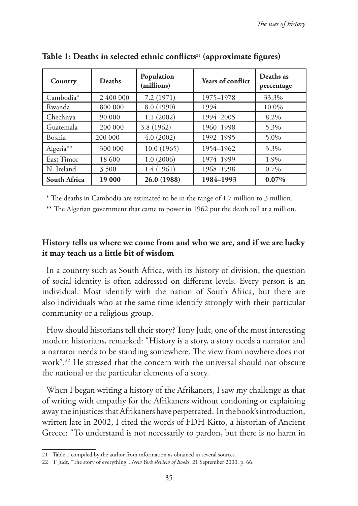| Country      | <b>Deaths</b> | Population<br>(millions) | <b>Years of conflict</b> | Deaths as<br>percentage |
|--------------|---------------|--------------------------|--------------------------|-------------------------|
| Cambodia*    | 2 400 000     | 7.2 (1971)               | 1975-1978                | 33.3%                   |
| Rwanda       | 800 000       | 8.0 (1990)               | 1994                     | 10.0%                   |
| Chechnya     | 90 000        | 1.1(2002)                | 1994-2005                | 8.2%                    |
| Guatemala    | 200 000       | 3.8 (1962)               | 1960-1998                | 5.3%                    |
| Bosnia       | 200 000       | 4.0(2002)                | 1992-1995                | 5.0%                    |
| Algeria**    | 300 000       | 10.0(1965)               | 1954-1962                | 3.3%                    |
| East Timor   | 18 600        | 1.0(2006)                | 1974-1999                | 1.9%                    |
| N. Ireland   | 3 500         | 1.4(1961)                | 1968-1998                | 0.7%                    |
| South Africa | 19 000        | 26.0 (1988)              | 1984-1993                | $0.07\%$                |

**Table 1: Deaths in selected ethnic conflicts**21 **(approximate figures)**

\* The deaths in Cambodia are estimated to be in the range of 1.7 million to 3 million.

\*\* The Algerian government that came to power in 1962 put the death toll at a million.

## **History tells us where we come from and who we are, and if we are lucky it may teach us a little bit of wisdom**

In a country such as South Africa, with its history of division, the question of social identity is often addressed on different levels. Every person is an individual. Most identify with the nation of South Africa, but there are also individuals who at the same time identify strongly with their particular community or a religious group.

How should historians tell their story? Tony Judt, one of the most interesting modern historians, remarked: "History is a story, a story needs a narrator and a narrator needs to be standing somewhere. The view from nowhere does not work".22 He stressed that the concern with the universal should not obscure the national or the particular elements of a story.

When I began writing a history of the Afrikaners, I saw my challenge as that of writing with empathy for the Afrikaners without condoning or explaining away the injustices that Afrikaners have perpetrated. In the book's introduction, written late in 2002, I cited the words of FDH Kitto, a historian of Ancient Greece: "To understand is not necessarily to pardon, but there is no harm in

<sup>21</sup> Table 1 compiled by the author from information as obtained in several sources.

<sup>22</sup> T Judt, "The story of everything", *New York Review of Books*, 21 September 2000, p. 66.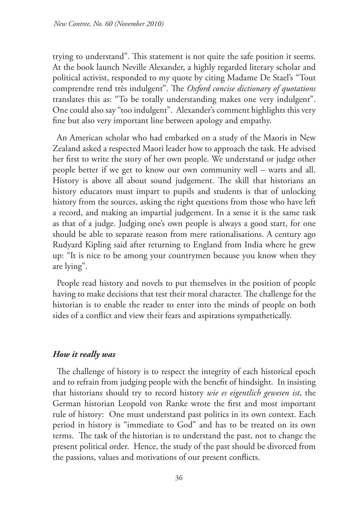trying to understand". This statement is not quite the safe position it seems. At the book launch Neville Alexander, a highly regarded literary scholar and political activist, responded to my quote by citing Madame De Stael's "Tout comprendre rend très indulgent". The *Oxford concise dictionary of quotations* translates this as: "To be totally understanding makes one very indulgent". One could also say "too indulgent". Alexander's comment highlights this very fine but also very important line between apology and empathy.

An American scholar who had embarked on a study of the Maoris in New Zealand asked a respected Maori leader how to approach the task. He advised her first to write the story of her own people. We understand or judge other people better if we get to know our own community well – warts and all. History is above all about sound judgement. The skill that historians an history educators must impart to pupils and students is that of unlocking history from the sources, asking the right questions from those who have left a record, and making an impartial judgement. In a sense it is the same task as that of a judge. Judging one's own people is always a good start, for one should be able to separate reason from mere rationalisations. A century ago Rudyard Kipling said after returning to England from India where he grew up: "It is nice to be among your countrymen because you know when they are lying".

People read history and novels to put themselves in the position of people having to make decisions that test their moral character. The challenge for the historian is to enable the reader to enter into the minds of people on both sides of a conflict and view their fears and aspirations sympathetically.

### *How it really was*

The challenge of history is to respect the integrity of each historical epoch and to refrain from judging people with the benefit of hindsight. In insisting that historians should try to record history *wie es eigentlich gewesen ist*, the German historian Leopold von Ranke wrote the first and most important rule of history: One must understand past politics in its own context. Each period in history is "immediate to God" and has to be treated on its own terms. The task of the historian is to understand the past, not to change the present political order. Hence, the study of the past should be divorced from the passions, values and motivations of our present conflicts.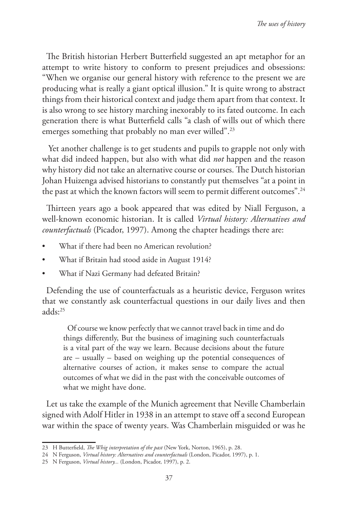The British historian Herbert Butterfield suggested an apt metaphor for an attempt to write history to conform to present prejudices and obsessions: "When we organise our general history with reference to the present we are producing what is really a giant optical illusion." It is quite wrong to abstract things from their historical context and judge them apart from that context. It is also wrong to see history marching inexorably to its fated outcome. In each generation there is what Butterfield calls "a clash of wills out of which there emerges something that probably no man ever willed".<sup>23</sup>

 Yet another challenge is to get students and pupils to grapple not only with what did indeed happen, but also with what did *not* happen and the reason why history did not take an alternative course or courses. The Dutch historian Johan Huizenga advised historians to constantly put themselves "at a point in the past at which the known factors will seem to permit different outcomes".<sup>24</sup>

Thirteen years ago a book appeared that was edited by Niall Ferguson, a well-known economic historian. It is called *Virtual history: Alternatives and counterfactuals* (Picador, 1997). Among the chapter headings there are:

- What if there had been no American revolution?
- What if Britain had stood aside in August 1914?
- What if Nazi Germany had defeated Britain?

Defending the use of counterfactuals as a heuristic device, Ferguson writes that we constantly ask counterfactual questions in our daily lives and then adds:25

Of course we know perfectly that we cannot travel back in time and do things differently, But the business of imagining such counterfactuals is a vital part of the way we learn. Because decisions about the future are – usually – based on weighing up the potential consequences of alternative courses of action, it makes sense to compare the actual outcomes of what we did in the past with the conceivable outcomes of what we might have done.

Let us take the example of the Munich agreement that Neville Chamberlain signed with Adolf Hitler in 1938 in an attempt to stave off a second European war within the space of twenty years. Was Chamberlain misguided or was he

<sup>23</sup> H Butterfield, *The Whig interpretation of the past* (New York, Norton, 1965), p. 28.

<sup>24</sup> N Ferguson, *Virtual history: Alternatives and counterfactuals* (London, Picador, 1997), p. 1.

<sup>25</sup> N Ferguson, *Virtual history...* (London, Picador, 1997), p. 2.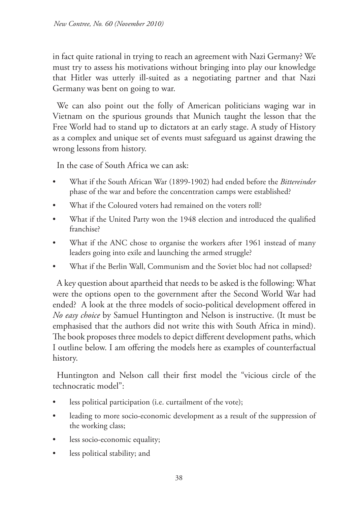in fact quite rational in trying to reach an agreement with Nazi Germany? We must try to assess his motivations without bringing into play our knowledge that Hitler was utterly ill-suited as a negotiating partner and that Nazi Germany was bent on going to war.

We can also point out the folly of American politicians waging war in Vietnam on the spurious grounds that Munich taught the lesson that the Free World had to stand up to dictators at an early stage. A study of History as a complex and unique set of events must safeguard us against drawing the wrong lessons from history.

In the case of South Africa we can ask:

- What if the South African War (1899-1902) had ended before the *Bittereinder* phase of the war and before the concentration camps were established?
- What if the Coloured voters had remained on the voters roll?
- What if the United Party won the 1948 election and introduced the qualified franchise?
- What if the ANC chose to organise the workers after 1961 instead of many leaders going into exile and launching the armed struggle?
- What if the Berlin Wall, Communism and the Soviet bloc had not collapsed?

A key question about apartheid that needs to be asked is the following: What were the options open to the government after the Second World War had ended? A look at the three models of socio-political development offered in *No easy choice* by Samuel Huntington and Nelson is instructive. (It must be emphasised that the authors did not write this with South Africa in mind). The book proposes three models to depict different development paths, which I outline below. I am offering the models here as examples of counterfactual history.

Huntington and Nelson call their first model the "vicious circle of the technocratic model":

- less political participation (i.e. curtailment of the vote);
- leading to more socio-economic development as a result of the suppression of the working class;
- less socio-economic equality;
- less political stability; and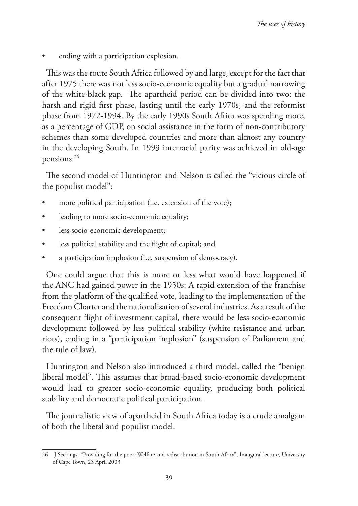ending with a participation explosion.

This was the route South Africa followed by and large, except for the fact that after 1975 there was not less socio-economic equality but a gradual narrowing of the white-black gap. The apartheid period can be divided into two: the harsh and rigid first phase, lasting until the early 1970s, and the reformist phase from 1972-1994. By the early 1990s South Africa was spending more, as a percentage of GDP, on social assistance in the form of non-contributory schemes than some developed countries and more than almost any country in the developing South. In 1993 interracial parity was achieved in old-age pensions.26

The second model of Huntington and Nelson is called the "vicious circle of the populist model":

- more political participation (i.e. extension of the vote);
- leading to more socio-economic equality;
- less socio-economic development;
- less political stability and the flight of capital; and
- a participation implosion (i.e. suspension of democracy).

One could argue that this is more or less what would have happened if the ANC had gained power in the 1950s: A rapid extension of the franchise from the platform of the qualified vote, leading to the implementation of the Freedom Charter and the nationalisation of several industries. As a result of the consequent flight of investment capital, there would be less socio-economic development followed by less political stability (white resistance and urban riots), ending in a "participation implosion" (suspension of Parliament and the rule of law).

Huntington and Nelson also introduced a third model, called the "benign liberal model". This assumes that broad-based socio-economic development would lead to greater socio-economic equality, producing both political stability and democratic political participation.

The journalistic view of apartheid in South Africa today is a crude amalgam of both the liberal and populist model.

<sup>26</sup> J Seekings, "Providing for the poor: Welfare and redistribution in South Africa", Inaugural lecture, University of Cape Town, 23 April 2003.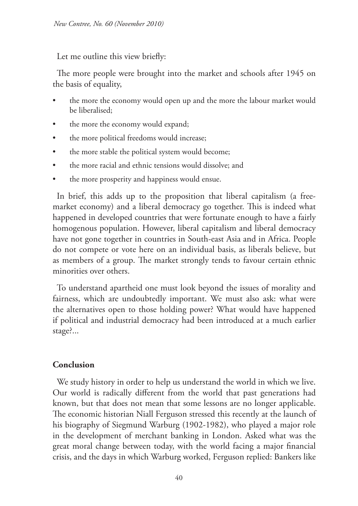Let me outline this view briefly:

The more people were brought into the market and schools after 1945 on the basis of equality,

- the more the economy would open up and the more the labour market would be liberalised;
- the more the economy would expand;
- the more political freedoms would increase;
- the more stable the political system would become;
- the more racial and ethnic tensions would dissolve; and
- the more prosperity and happiness would ensue.

In brief, this adds up to the proposition that liberal capitalism (a freemarket economy) and a liberal democracy go together. This is indeed what happened in developed countries that were fortunate enough to have a fairly homogenous population. However, liberal capitalism and liberal democracy have not gone together in countries in South-east Asia and in Africa. People do not compete or vote here on an individual basis, as liberals believe, but as members of a group. The market strongly tends to favour certain ethnic minorities over others.

To understand apartheid one must look beyond the issues of morality and fairness, which are undoubtedly important. We must also ask: what were the alternatives open to those holding power? What would have happened if political and industrial democracy had been introduced at a much earlier stage?...

#### **Conclusion**

We study history in order to help us understand the world in which we live. Our world is radically different from the world that past generations had known, but that does not mean that some lessons are no longer applicable. The economic historian Niall Ferguson stressed this recently at the launch of his biography of Siegmund Warburg (1902-1982), who played a major role in the development of merchant banking in London. Asked what was the great moral change between today, with the world facing a major financial crisis, and the days in which Warburg worked, Ferguson replied: Bankers like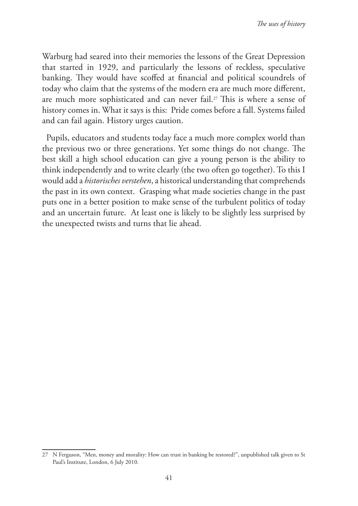Warburg had seared into their memories the lessons of the Great Depression that started in 1929, and particularly the lessons of reckless, speculative banking. They would have scoffed at financial and political scoundrels of today who claim that the systems of the modern era are much more different, are much more sophisticated and can never fail.<sup>27</sup> This is where a sense of history comes in. What it says is this: Pride comes before a fall. Systems failed and can fail again. History urges caution.

Pupils, educators and students today face a much more complex world than the previous two or three generations. Yet some things do not change. The best skill a high school education can give a young person is the ability to think independently and to write clearly (the two often go together). To this I would add a *historisches verstehen*, a historical understanding that comprehends the past in its own context. Grasping what made societies change in the past puts one in a better position to make sense of the turbulent politics of today and an uncertain future. At least one is likely to be slightly less surprised by the unexpected twists and turns that lie ahead.

<sup>27</sup> N Ferguson, "Men, money and morality: How can trust in banking be restored?", unpublished talk given to St Paul's Institute, London, 6 July 2010.